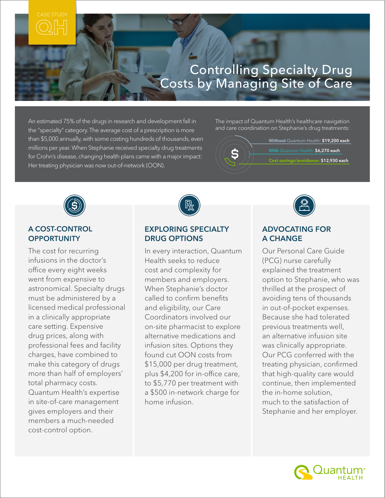# Controlling Specialty Drug Costs by Managing Site of Care

An estimated 75% of the drugs in research and development fall in the "specialty" category. The average cost of a prescription is more than \$5,000 annually, with some costing hundreds of thousands, even millions per year. When Stephanie received specialty drug treatments for Crohn's disease, changing health plans came with a major impact: Her treating physician was now out-of-network (OON).

The impact of Quantum Health's healthcare navigation and care coordination on Stephanie's drug treatments:





#### A COST-CONTROL **OPPORTUNITY**

The cost for recurring infusions in the doctor's office every eight weeks went from expensive to astronomical. Specialty drugs must be administered by a licensed medical professional in a clinically appropriate care setting. Expensive drug prices, along with professional fees and facility charges, have combined to make this category of drugs more than half of employers' total pharmacy costs. Quantum Health's expertise in site-of-care management gives employers and their members a much-needed cost-control option.



# EXPLORING SPECIALTY DRUG OPTIONS

In every interaction, Quantum Health seeks to reduce cost and complexity for members and employers. When Stephanie's doctor called to confirm benefits and eligibility, our Care Coordinators involved our on-site pharmacist to explore alternative medications and infusion sites. Options they found cut OON costs from \$15,000 per drug treatment, plus \$4,200 for in-office care, to \$5,770 per treatment with a \$500 in-network charge for home infusion.



# ADVOCATING FOR A CHANGE

Our Personal Care Guide (PCG) nurse carefully explained the treatment option to Stephanie, who was thrilled at the prospect of avoiding tens of thousands in out-of-pocket expenses. Because she had tolerated previous treatments well, an alternative infusion site was clinically appropriate. Our PCG conferred with the treating physician, confirmed that high-quality care would continue, then implemented the in-home solution, much to the satisfaction of Stephanie and her employer.